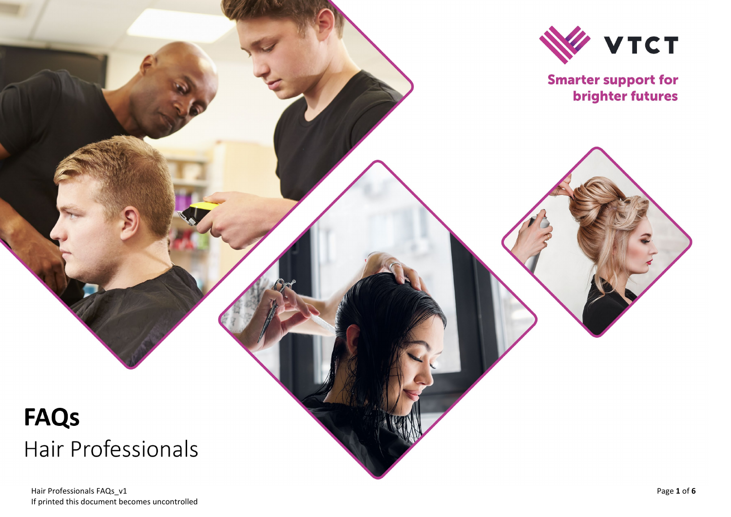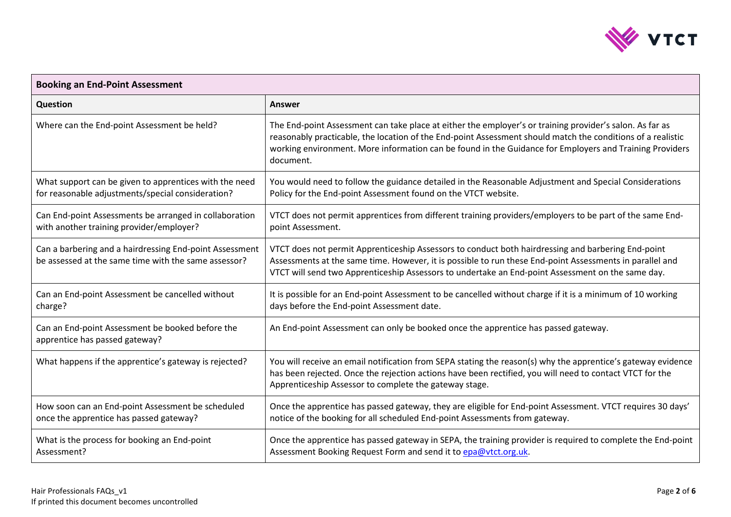

| <b>Booking an End-Point Assessment</b>                                                                          |                                                                                                                                                                                                                                                                                                                                                 |  |
|-----------------------------------------------------------------------------------------------------------------|-------------------------------------------------------------------------------------------------------------------------------------------------------------------------------------------------------------------------------------------------------------------------------------------------------------------------------------------------|--|
| <b>Question</b>                                                                                                 | <b>Answer</b>                                                                                                                                                                                                                                                                                                                                   |  |
| Where can the End-point Assessment be held?                                                                     | The End-point Assessment can take place at either the employer's or training provider's salon. As far as<br>reasonably practicable, the location of the End-point Assessment should match the conditions of a realistic<br>working environment. More information can be found in the Guidance for Employers and Training Providers<br>document. |  |
| What support can be given to apprentices with the need<br>for reasonable adjustments/special consideration?     | You would need to follow the guidance detailed in the Reasonable Adjustment and Special Considerations<br>Policy for the End-point Assessment found on the VTCT website.                                                                                                                                                                        |  |
| Can End-point Assessments be arranged in collaboration<br>with another training provider/employer?              | VTCT does not permit apprentices from different training providers/employers to be part of the same End-<br>point Assessment.                                                                                                                                                                                                                   |  |
| Can a barbering and a hairdressing End-point Assessment<br>be assessed at the same time with the same assessor? | VTCT does not permit Apprenticeship Assessors to conduct both hairdressing and barbering End-point<br>Assessments at the same time. However, it is possible to run these End-point Assessments in parallel and<br>VTCT will send two Apprenticeship Assessors to undertake an End-point Assessment on the same day.                             |  |
| Can an End-point Assessment be cancelled without<br>charge?                                                     | It is possible for an End-point Assessment to be cancelled without charge if it is a minimum of 10 working<br>days before the End-point Assessment date.                                                                                                                                                                                        |  |
| Can an End-point Assessment be booked before the<br>apprentice has passed gateway?                              | An End-point Assessment can only be booked once the apprentice has passed gateway.                                                                                                                                                                                                                                                              |  |
| What happens if the apprentice's gateway is rejected?                                                           | You will receive an email notification from SEPA stating the reason(s) why the apprentice's gateway evidence<br>has been rejected. Once the rejection actions have been rectified, you will need to contact VTCT for the<br>Apprenticeship Assessor to complete the gateway stage.                                                              |  |
| How soon can an End-point Assessment be scheduled<br>once the apprentice has passed gateway?                    | Once the apprentice has passed gateway, they are eligible for End-point Assessment. VTCT requires 30 days'<br>notice of the booking for all scheduled End-point Assessments from gateway.                                                                                                                                                       |  |
| What is the process for booking an End-point<br>Assessment?                                                     | Once the apprentice has passed gateway in SEPA, the training provider is required to complete the End-point<br>Assessment Booking Request Form and send it to epa@vtct.org.uk.                                                                                                                                                                  |  |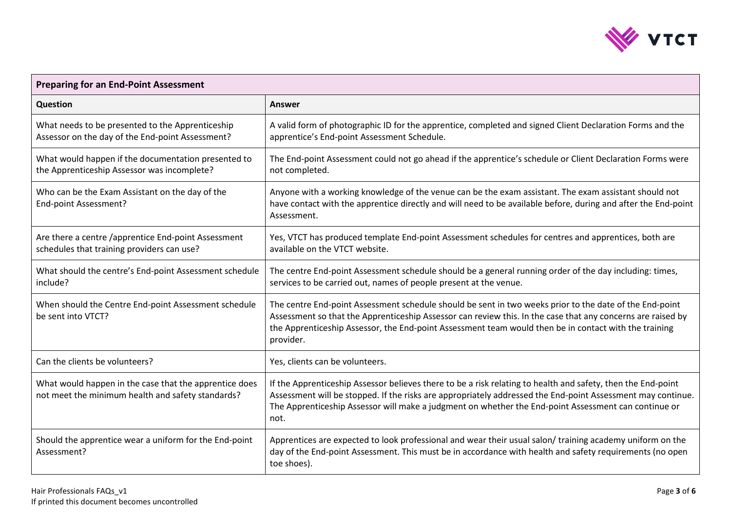

| <b>Preparing for an End-Point Assessment</b>                                                                |                                                                                                                                                                                                                                                                                                                                              |  |
|-------------------------------------------------------------------------------------------------------------|----------------------------------------------------------------------------------------------------------------------------------------------------------------------------------------------------------------------------------------------------------------------------------------------------------------------------------------------|--|
| Question                                                                                                    | <b>Answer</b>                                                                                                                                                                                                                                                                                                                                |  |
| What needs to be presented to the Apprenticeship<br>Assessor on the day of the End-point Assessment?        | A valid form of photographic ID for the apprentice, completed and signed Client Declaration Forms and the<br>apprentice's End-point Assessment Schedule.                                                                                                                                                                                     |  |
| What would happen if the documentation presented to<br>the Apprenticeship Assessor was incomplete?          | The End-point Assessment could not go ahead if the apprentice's schedule or Client Declaration Forms were<br>not completed.                                                                                                                                                                                                                  |  |
| Who can be the Exam Assistant on the day of the<br>End-point Assessment?                                    | Anyone with a working knowledge of the venue can be the exam assistant. The exam assistant should not<br>have contact with the apprentice directly and will need to be available before, during and after the End-point<br>Assessment.                                                                                                       |  |
| Are there a centre /apprentice End-point Assessment<br>schedules that training providers can use?           | Yes, VTCT has produced template End-point Assessment schedules for centres and apprentices, both are<br>available on the VTCT website.                                                                                                                                                                                                       |  |
| What should the centre's End-point Assessment schedule<br>include?                                          | The centre End-point Assessment schedule should be a general running order of the day including: times,<br>services to be carried out, names of people present at the venue.                                                                                                                                                                 |  |
| When should the Centre End-point Assessment schedule<br>be sent into VTCT?                                  | The centre End-point Assessment schedule should be sent in two weeks prior to the date of the End-point<br>Assessment so that the Apprenticeship Assessor can review this. In the case that any concerns are raised by<br>the Apprenticeship Assessor, the End-point Assessment team would then be in contact with the training<br>provider. |  |
| Can the clients be volunteers?                                                                              | Yes, clients can be volunteers.                                                                                                                                                                                                                                                                                                              |  |
| What would happen in the case that the apprentice does<br>not meet the minimum health and safety standards? | If the Apprenticeship Assessor believes there to be a risk relating to health and safety, then the End-point<br>Assessment will be stopped. If the risks are appropriately addressed the End-point Assessment may continue.<br>The Apprenticeship Assessor will make a judgment on whether the End-point Assessment can continue or<br>not.  |  |
| Should the apprentice wear a uniform for the End-point<br>Assessment?                                       | Apprentices are expected to look professional and wear their usual salon/ training academy uniform on the<br>day of the End-point Assessment. This must be in accordance with health and safety requirements (no open<br>toe shoes).                                                                                                         |  |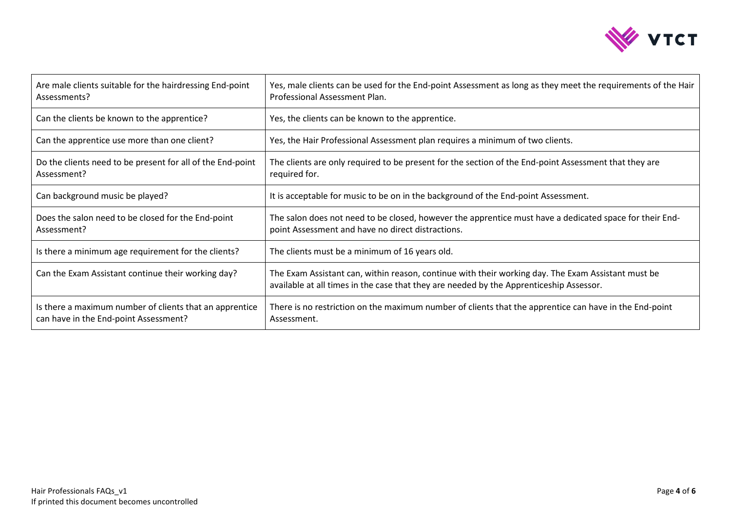

| Are male clients suitable for the hairdressing End-point<br>Assessments?                         | Yes, male clients can be used for the End-point Assessment as long as they meet the requirements of the Hair<br>Professional Assessment Plan.                                                 |
|--------------------------------------------------------------------------------------------------|-----------------------------------------------------------------------------------------------------------------------------------------------------------------------------------------------|
| Can the clients be known to the apprentice?                                                      | Yes, the clients can be known to the apprentice.                                                                                                                                              |
| Can the apprentice use more than one client?                                                     | Yes, the Hair Professional Assessment plan requires a minimum of two clients.                                                                                                                 |
| Do the clients need to be present for all of the End-point<br>Assessment?                        | The clients are only required to be present for the section of the End-point Assessment that they are<br>required for.                                                                        |
| Can background music be played?                                                                  | It is acceptable for music to be on in the background of the End-point Assessment.                                                                                                            |
| Does the salon need to be closed for the End-point<br>Assessment?                                | The salon does not need to be closed, however the apprentice must have a dedicated space for their End-<br>point Assessment and have no direct distractions.                                  |
| Is there a minimum age requirement for the clients?                                              | The clients must be a minimum of 16 years old.                                                                                                                                                |
| Can the Exam Assistant continue their working day?                                               | The Exam Assistant can, within reason, continue with their working day. The Exam Assistant must be<br>available at all times in the case that they are needed by the Apprenticeship Assessor. |
| Is there a maximum number of clients that an apprentice<br>can have in the End-point Assessment? | There is no restriction on the maximum number of clients that the apprentice can have in the End-point<br>Assessment.                                                                         |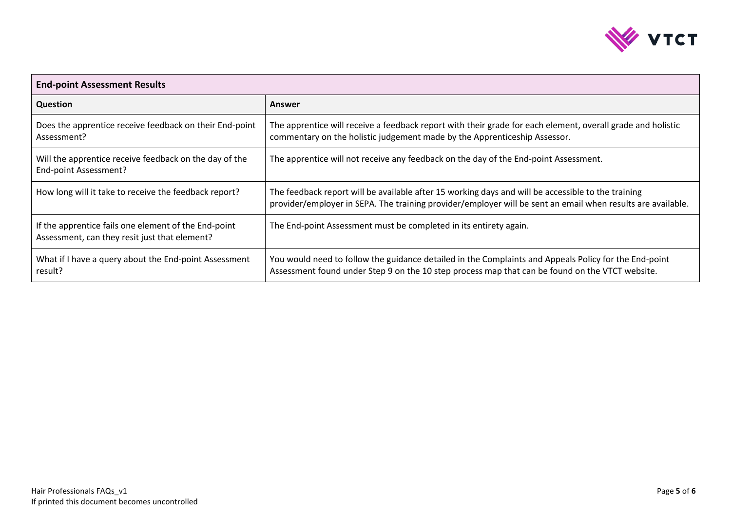

| <b>End-point Assessment Results</b>                                                                   |                                                                                                                                                                                                                   |  |
|-------------------------------------------------------------------------------------------------------|-------------------------------------------------------------------------------------------------------------------------------------------------------------------------------------------------------------------|--|
| <b>Question</b>                                                                                       | Answer                                                                                                                                                                                                            |  |
| Does the apprentice receive feedback on their End-point<br>Assessment?                                | The apprentice will receive a feedback report with their grade for each element, overall grade and holistic<br>commentary on the holistic judgement made by the Apprenticeship Assessor.                          |  |
| Will the apprentice receive feedback on the day of the<br>End-point Assessment?                       | The apprentice will not receive any feedback on the day of the End-point Assessment.                                                                                                                              |  |
| How long will it take to receive the feedback report?                                                 | The feedback report will be available after 15 working days and will be accessible to the training<br>provider/employer in SEPA. The training provider/employer will be sent an email when results are available. |  |
| If the apprentice fails one element of the End-point<br>Assessment, can they resit just that element? | The End-point Assessment must be completed in its entirety again.                                                                                                                                                 |  |
| What if I have a query about the End-point Assessment<br>result?                                      | You would need to follow the guidance detailed in the Complaints and Appeals Policy for the End-point<br>Assessment found under Step 9 on the 10 step process map that can be found on the VTCT website.          |  |